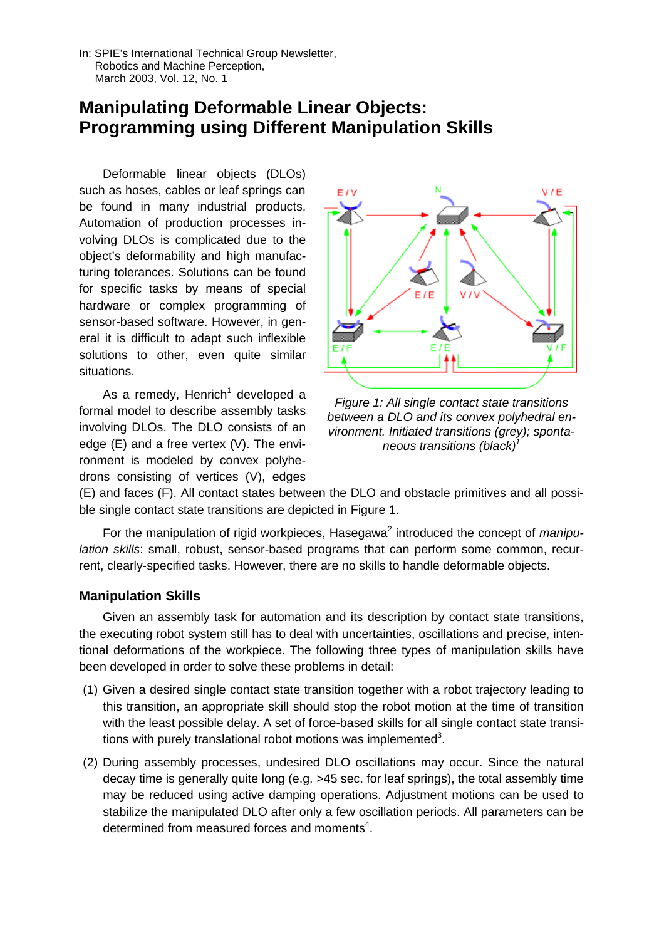In: SPIE's International Technical Group Newsletter, Robotics and Machine Perception, March 2003, Vol. 12, No. 1

# **Manipulating Deformable Linear Objects: Programming using Different Manipulation Skills**

Deformable linear objects (DLOs) such as hoses, cables or leaf springs can be found in many industrial products. Automation of production processes involving DLOs is complicated due to the object's deformability and high manufacturing tolerances. Solutions can be found for specific tasks by means of special hardware or complex programming of sensor-based software. However, in general it is difficult to adapt such inflexible solutions to other, even quite similar situations.

As a remedy, Henrich<sup>1</sup> developed a formal model to describe assembly tasks involving DLOs. The DLO consists of an edge (E) and a free vertex (V). The environment is modeled by convex polyhedrons consisting of vertices (V), edges



*Figure 1: All single contact state transitions between a DLO and its convex polyhedral environment. Initiated transitions (grey); spontaneous transitions (black)<sup>1</sup>*

(E) and faces (F). All contact states between the DLO and obstacle primitives and all possible single contact state transitions are depicted in Figure 1.

For the manipulation of rigid workpieces, Hasegawa<sup>2</sup> introduced the concept of *manipulation skills*: small, robust, sensor-based programs that can perform some common, recurrent, clearly-specified tasks. However, there are no skills to handle deformable objects.

#### **Manipulation Skills**

Given an assembly task for automation and its description by contact state transitions, the executing robot system still has to deal with uncertainties, oscillations and precise, intentional deformations of the workpiece. The following three types of manipulation skills have been developed in order to solve these problems in detail:

- (1) Given a desired single contact state transition together with a robot trajectory leading to this transition, an appropriate skill should stop the robot motion at the time of transition with the least possible delay. A set of force-based skills for all single contact state transitions with purely translational robot motions was implemented<sup>3</sup>.
- (2) During assembly processes, undesired DLO oscillations may occur. Since the natural decay time is generally quite long (e.g. >45 sec. for leaf springs), the total assembly time may be reduced using active damping operations. Adjustment motions can be used to stabilize the manipulated DLO after only a few oscillation periods. All parameters can be determined from measured forces and moments<sup>4</sup>.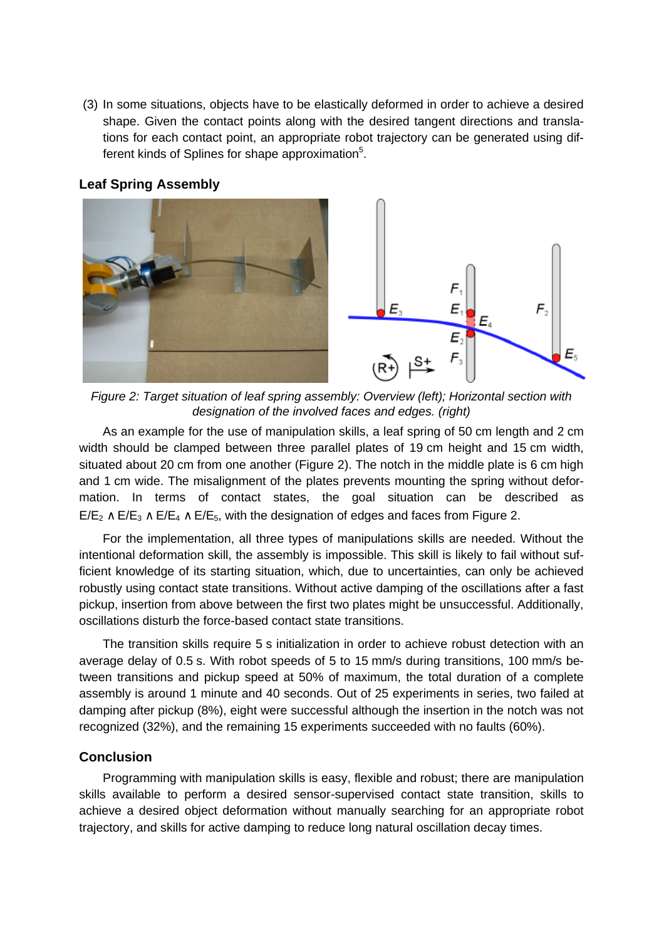(3) In some situations, objects have to be elastically deformed in order to achieve a desired shape. Given the contact points along with the desired tangent directions and translations for each contact point, an appropriate robot trajectory can be generated using different kinds of Splines for shape approximation<sup>5</sup>.

#### **Leaf Spring Assembly**



*Figure 2: Target situation of leaf spring assembly: Overview (left); Horizontal section with designation of the involved faces and edges. (right)*

As an example for the use of manipulation skills, a leaf spring of 50 cm length and 2 cm width should be clamped between three parallel plates of 19 cm height and 15 cm width, situated about 20 cm from one another (Figure 2). The notch in the middle plate is 6 cm high and 1 cm wide. The misalignment of the plates prevents mounting the spring without deformation. In terms of contact states, the goal situation can be described as  $E/E_2 \wedge E/E_3 \wedge E/E_4 \wedge E/E_5$ , with the designation of edges and faces from Figure 2.

For the implementation, all three types of manipulations skills are needed. Without the intentional deformation skill, the assembly is impossible. This skill is likely to fail without sufficient knowledge of its starting situation, which, due to uncertainties, can only be achieved robustly using contact state transitions. Without active damping of the oscillations after a fast pickup, insertion from above between the first two plates might be unsuccessful. Additionally, oscillations disturb the force-based contact state transitions.

The transition skills require 5 s initialization in order to achieve robust detection with an average delay of 0.5 s. With robot speeds of 5 to 15 mm/s during transitions, 100 mm/s between transitions and pickup speed at 50% of maximum, the total duration of a complete assembly is around 1 minute and 40 seconds. Out of 25 experiments in series, two failed at damping after pickup (8%), eight were successful although the insertion in the notch was not recognized (32%), and the remaining 15 experiments succeeded with no faults (60%).

### **Conclusion**

Programming with manipulation skills is easy, flexible and robust; there are manipulation skills available to perform a desired sensor-supervised contact state transition, skills to achieve a desired object deformation without manually searching for an appropriate robot trajectory, and skills for active damping to reduce long natural oscillation decay times.